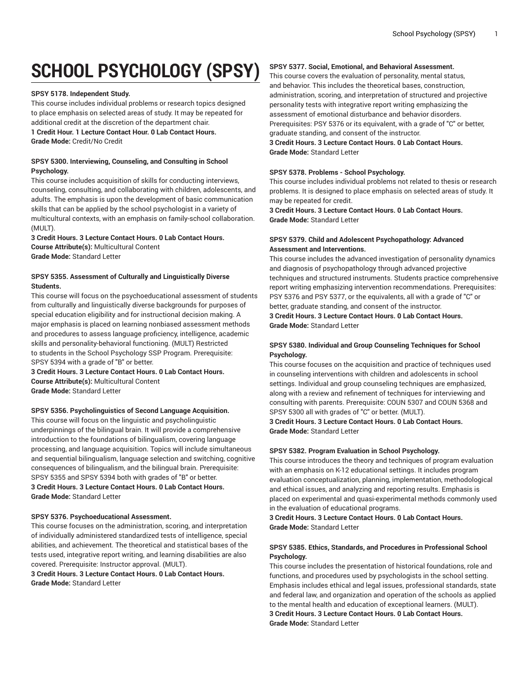# **SCHOOL PSYCHOLOGY (SPSY)**

## **SPSY 5178. Independent Study.**

This course includes individual problems or research topics designed to place emphasis on selected areas of study. It may be repeated for additional credit at the discretion of the department chair.

**1 Credit Hour. 1 Lecture Contact Hour. 0 Lab Contact Hours. Grade Mode:** Credit/No Credit

# **SPSY 5300. Interviewing, Counseling, and Consulting in School Psychology.**

This course includes acquisition of skills for conducting interviews, counseling, consulting, and collaborating with children, adolescents, and adults. The emphasis is upon the development of basic communication skills that can be applied by the school psychologist in a variety of multicultural contexts, with an emphasis on family-school collaboration. (MULT).

**3 Credit Hours. 3 Lecture Contact Hours. 0 Lab Contact Hours. Course Attribute(s):** Multicultural Content **Grade Mode:** Standard Letter

# **SPSY 5355. Assessment of Culturally and Linguistically Diverse Students.**

This course will focus on the psychoeducational assessment of students from culturally and linguistically diverse backgrounds for purposes of special education eligibility and for instructional decision making. A major emphasis is placed on learning nonbiased assessment methods and procedures to assess language proficiency, intelligence, academic skills and personality-behavioral functioning. (MULT) Restricted to students in the School Psychology SSP Program. Prerequisite: SPSY 5394 with a grade of "B" or better.

**3 Credit Hours. 3 Lecture Contact Hours. 0 Lab Contact Hours. Course Attribute(s):** Multicultural Content **Grade Mode:** Standard Letter

## **SPSY 5356. Psycholinguistics of Second Language Acquisition.**

This course will focus on the linguistic and psycholinguistic underpinnings of the bilingual brain. It will provide a comprehensive introduction to the foundations of bilingualism, covering language processing, and language acquisition. Topics will include simultaneous and sequential bilingualism, language selection and switching, cognitive consequences of bilingualism, and the bilingual brain. Prerequisite: SPSY 5355 and SPSY 5394 both with grades of "B" or better. **3 Credit Hours. 3 Lecture Contact Hours. 0 Lab Contact Hours. Grade Mode:** Standard Letter

## **SPSY 5376. Psychoeducational Assessment.**

This course focuses on the administration, scoring, and interpretation of individually administered standardized tests of intelligence, special abilities, and achievement. The theoretical and statistical bases of the tests used, integrative report writing, and learning disabilities are also covered. Prerequisite: Instructor approval. (MULT).

**3 Credit Hours. 3 Lecture Contact Hours. 0 Lab Contact Hours. Grade Mode:** Standard Letter

# **SPSY 5377. Social, Emotional, and Behavioral Assessment.**

This course covers the evaluation of personality, mental status, and behavior. This includes the theoretical bases, construction, administration, scoring, and interpretation of structured and projective personality tests with integrative report writing emphasizing the assessment of emotional disturbance and behavior disorders. Prerequisites: PSY 5376 or its equivalent, with a grade of "C" or better, graduate standing, and consent of the instructor.

**3 Credit Hours. 3 Lecture Contact Hours. 0 Lab Contact Hours. Grade Mode:** Standard Letter

#### **SPSY 5378. Problems - School Psychology.**

This course includes individual problems not related to thesis or research problems. It is designed to place emphasis on selected areas of study. It may be repeated for credit.

**3 Credit Hours. 3 Lecture Contact Hours. 0 Lab Contact Hours. Grade Mode:** Standard Letter

## **SPSY 5379. Child and Adolescent Psychopathology: Advanced Assessment and Interventions.**

This course includes the advanced investigation of personality dynamics and diagnosis of psychopathology through advanced projective techniques and structured instruments. Students practice comprehensive report writing emphasizing intervention recommendations. Prerequisites: PSY 5376 and PSY 5377, or the equivalents, all with a grade of "C" or better, graduate standing, and consent of the instructor. **3 Credit Hours. 3 Lecture Contact Hours. 0 Lab Contact Hours. Grade Mode:** Standard Letter

# **SPSY 5380. Individual and Group Counseling Techniques for School Psychology.**

This course focuses on the acquisition and practice of techniques used in counseling interventions with children and adolescents in school settings. Individual and group counseling techniques are emphasized, along with a review and refinement of techniques for interviewing and consulting with parents. Prerequisite: COUN 5307 and COUN 5368 and SPSY 5300 all with grades of "C" or better. (MULT).

# **3 Credit Hours. 3 Lecture Contact Hours. 0 Lab Contact Hours. Grade Mode:** Standard Letter

## **SPSY 5382. Program Evaluation in School Psychology.**

This course introduces the theory and techniques of program evaluation with an emphasis on K-12 educational settings. It includes program evaluation conceptualization, planning, implementation, methodological and ethical issues, and analyzing and reporting results. Emphasis is placed on experimental and quasi-experimental methods commonly used in the evaluation of educational programs.

**3 Credit Hours. 3 Lecture Contact Hours. 0 Lab Contact Hours. Grade Mode:** Standard Letter

# **SPSY 5385. Ethics, Standards, and Procedures in Professional School Psychology.**

This course includes the presentation of historical foundations, role and functions, and procedures used by psychologists in the school setting. Emphasis includes ethical and legal issues, professional standards, state and federal law, and organization and operation of the schools as applied to the mental health and education of exceptional learners. (MULT). **3 Credit Hours. 3 Lecture Contact Hours. 0 Lab Contact Hours. Grade Mode:** Standard Letter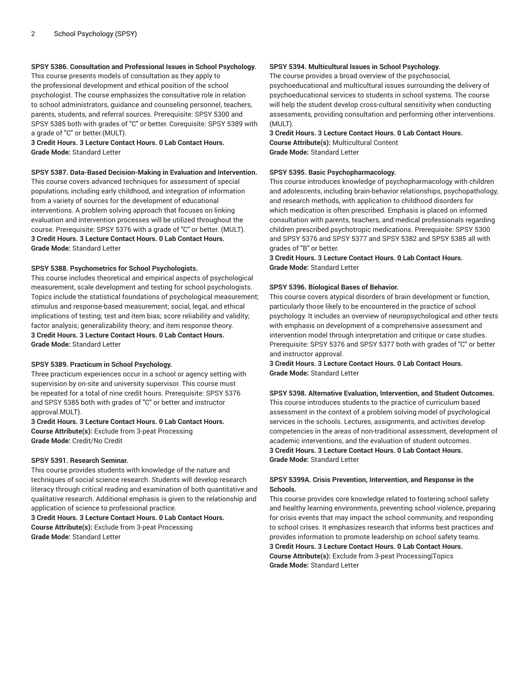# **SPSY 5386. Consultation and Professional Issues in School Psychology.**

This course presents models of consultation as they apply to the professional development and ethical position of the school psychologist. The course emphasizes the consultative role in relation to school administrators, guidance and counseling personnel, teachers, parents, students, and referral sources. Prerequisite: SPSY 5300 and SPSY 5385 both with grades of "C" or better. Corequisite: SPSY 5389 with a grade of "C" or better.(MULT).

**3 Credit Hours. 3 Lecture Contact Hours. 0 Lab Contact Hours. Grade Mode:** Standard Letter

# **SPSY 5387. Data-Based Decision-Making in Evaluation and Intervention.**

This course covers advanced techniques for assessment of special populations, including early childhood, and integration of information from a variety of sources for the development of educational interventions. A problem solving approach that focuses on linking evaluation and intervention processes will be utilized throughout the course. Prerequisite: SPSY 5376 with a grade of "C" or better. (MULT). **3 Credit Hours. 3 Lecture Contact Hours. 0 Lab Contact Hours. Grade Mode:** Standard Letter

#### **SPSY 5388. Psychometrics for School Psychologists.**

This course includes theoretical and empirical aspects of psychological measurement, scale development and testing for school psychologists. Topics include the statistical foundations of psychological measurement; stimulus and response-based measurement; social, legal, and ethical implications of testing; test and item bias; score reliability and validity; factor analysis; generalizability theory; and item response theory. **3 Credit Hours. 3 Lecture Contact Hours. 0 Lab Contact Hours. Grade Mode:** Standard Letter

#### **SPSY 5389. Practicum in School Psychology.**

Three practicum experiences occur in a school or agency setting with supervision by on-site and university supervisor. This course must be repeated for a total of nine credit hours. Prerequisite: SPSY 5376 and SPSY 5385 both with grades of "C" or better and instructor approval.MULT).

**3 Credit Hours. 3 Lecture Contact Hours. 0 Lab Contact Hours. Course Attribute(s):** Exclude from 3-peat Processing **Grade Mode:** Credit/No Credit

#### **SPSY 5391. Research Seminar.**

This course provides students with knowledge of the nature and techniques of social science research. Students will develop research literacy through critical reading and examination of both quantitative and qualitative research. Additional emphasis is given to the relationship and application of science to professional practice.

#### **3 Credit Hours. 3 Lecture Contact Hours. 0 Lab Contact Hours. Course Attribute(s):** Exclude from 3-peat Processing **Grade Mode:** Standard Letter

## **SPSY 5394. Multicultural Issues in School Psychology.**

The course provides a broad overview of the psychosocial,

psychoeducational and multicultural issues surrounding the delivery of psychoeducational services to students in school systems. The course will help the student develop cross-cultural sensitivity when conducting assessments, providing consultation and performing other interventions.  $(MIII)$ 

**3 Credit Hours. 3 Lecture Contact Hours. 0 Lab Contact Hours. Course Attribute(s):** Multicultural Content **Grade Mode:** Standard Letter

#### **SPSY 5395. Basic Psychopharmacology.**

This course introduces knowledge of psychopharmacology with children and adolescents, including brain-behavior relationships, psychopathology, and research methods, with application to childhood disorders for which medication is often prescribed. Emphasis is placed on informed consultation with parents, teachers, and medical professionals regarding children prescribed psychotropic medications. Prerequisite: SPSY 5300 and SPSY 5376 and SPSY 5377 and SPSY 5382 and SPSY 5385 all with grades of "B" or better.

**3 Credit Hours. 3 Lecture Contact Hours. 0 Lab Contact Hours. Grade Mode:** Standard Letter

#### **SPSY 5396. Biological Bases of Behavior.**

This course covers atypical disorders of brain development or function, particularly those likely to be encountered in the practice of school psychology. It includes an overview of neuropsychological and other tests with emphasis on development of a comprehensive assessment and intervention model through interpretation and critique or case studies. Prerequisite: SPSY 5376 and SPSY 5377 both with grades of "C" or better and instructor approval.

**3 Credit Hours. 3 Lecture Contact Hours. 0 Lab Contact Hours. Grade Mode:** Standard Letter

**SPSY 5398. Alternative Evaluation, Intervention, and Student Outcomes.** This course introduces students to the practice of curriculum based assessment in the context of a problem solving model of psychological services in the schools. Lectures, assignments, and activities develop competencies in the areas of non-traditional assessment, development of academic interventions, and the evaluation of student outcomes. **3 Credit Hours. 3 Lecture Contact Hours. 0 Lab Contact Hours.**

**Grade Mode:** Standard Letter

# **SPSY 5399A. Crisis Prevention, Intervention, and Response in the Schools.**

This course provides core knowledge related to fostering school safety and healthy learning environments, preventing school violence, preparing for crisis events that may impact the school community, and responding to school crises. It emphasizes research that informs best practices and provides information to promote leadership on school safety teams. **3 Credit Hours. 3 Lecture Contact Hours. 0 Lab Contact Hours. Course Attribute(s):** Exclude from 3-peat Processing|Topics

**Grade Mode:** Standard Letter